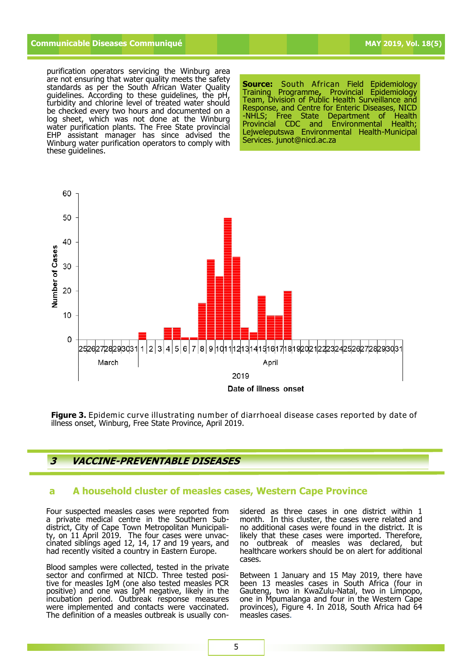# **Communicable Diseases Communiqué MAY 2019, Vol. 18(5)**

purification operators servicing the Winburg area are not ensuring that water quality meets the safety standards as per the South African Water Quality guidelines. According to these guidelines, the pH, turbidity and chlorine level of treated water should be checked every two hours and documented on a log sheet, which was not done at the Winburg water purification plants. The Free State provincial EHP assistant manager has since advised the Winburg water purification operators to comply with these guidelines.

**Source:** South African Field Epidemiology Training Programme**,** Provincial Epidemiology Team, Division of Public Health Surveillance and Response, and Centre for Enteric Diseases, NICD -NHLS; Free State Department of Health Provincial CDC and Environmental Health; Lejweleputswa Environmental Health-Municipal Services. junot@nicd.ac.za



**Figure 3.** Epidemic curve illustrating number of diarrhoeal disease cases reported by date of illness onset, Winburg, Free State Province, April 2019.

# **3 VACCINE-PREVENTABLE DISEASES**

### **a A household cluster of measles cases, Western Cape Province**

Four suspected measles cases were reported from a private medical centre in the Southern Subdistrict, City of Cape Town Metropolitan Municipality, on 11 April 2019. The four cases were unvaccinated siblings aged 12, 14, 17 and 19 years, and had recently visited a country in Eastern Europe.

Blood samples were collected, tested in the private sector and confirmed at NICD. Three tested positive for measles IgM (one also tested measles PCR positive) and one was IgM negative, likely in the incubation period. Outbreak response measures were implemented and contacts were vaccinated. The definition of a measles outbreak is usually considered as three cases in one district within 1 month. In this cluster, the cases were related and no additional cases were found in the district. It is likely that these cases were imported. Therefore, no outbreak of measles was declared, but healthcare workers should be on alert for additional cases.

Between 1 January and 15 May 2019, there have been 13 measles cases in South Africa (four in Gauteng, two in KwaZulu-Natal, two in Limpopo, one in Mpumalanga and four in the Western Cape provinces), Figure 4. In 2018, South Africa had 64 measles cases.